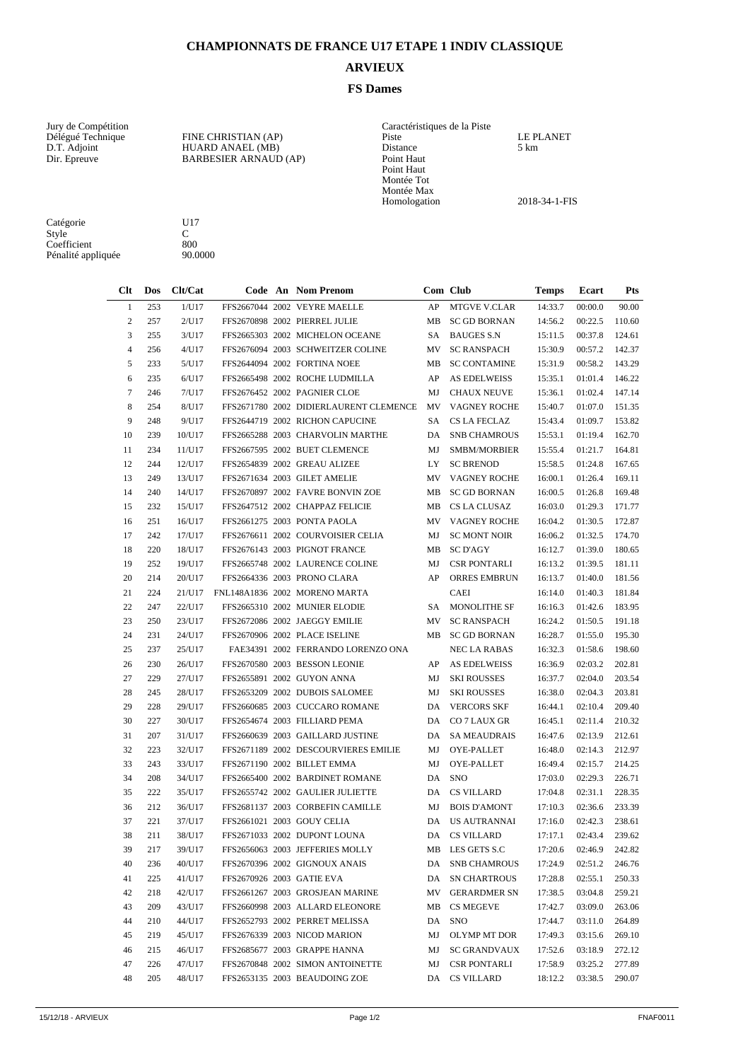## **CHAMPIONNATS DE FRANCE U17 ETAPE 1 INDIV CLASSIQUE**

## **ARVIEUX**

## **FS Dames**

Vury de Compétition de la Piste de la Piste de la Piste de la Piste de la Piste de la Piste de la Piste de la Piste de la Piste de la Piste de la Piste de la Piste de la Piste de la Piste de la Piste de la Piste de la Pist Dir. Epreuve BARBESIER ARNAUD (AP) Point Haut

| Jury de Compétition |                              | Caractéristiques de la Piste |                  |
|---------------------|------------------------------|------------------------------|------------------|
| Délégué Technique   | FINE CHRISTIAN (AP)          | Piste                        | <b>LE PLANET</b> |
| D.T. Adjoint        | HUARD ANAEL (MB)             | Distance                     | 5 km             |
| Dir. Epreuve        | <b>BARBESIER ARNAUD (AP)</b> | Point Haut                   |                  |
|                     |                              | Point Haut                   |                  |
|                     |                              | Montée Tot                   |                  |
|                     |                              | Montée Max                   |                  |
|                     |                              | Homologation                 | 2018-34-1-FIS    |
|                     |                              |                              |                  |

Catégorie U17 Style C Coefficient 800 Pénalité appliquée  $90.0000$ 

| $Cl$ t         | Dos | Clt/Cat |  | Code An Nom Prenom                     |           | Com Club            | Temps   | Ecart   | Pts    |
|----------------|-----|---------|--|----------------------------------------|-----------|---------------------|---------|---------|--------|
| $\mathbf{1}$   | 253 | 1/U17   |  | FFS2667044 2002 VEYRE MAELLE           | AP        | <b>MTGVE V.CLAR</b> | 14:33.7 | 00:00.0 | 90.00  |
| $\overline{c}$ | 257 | 2/U17   |  | FFS2670898 2002 PIERREL JULIE          | MB        | <b>SC GD BORNAN</b> | 14:56.2 | 00:22.5 | 110.60 |
| 3              | 255 | 3/U17   |  | FFS2665303 2002 MICHELON OCEANE        | SA –      | <b>BAUGES S.N</b>   | 15:11.5 | 00:37.8 | 124.61 |
| $\overline{4}$ | 256 | 4/U17   |  | FFS2676094 2003 SCHWEITZER COLINE      | MV        | <b>SC RANSPACH</b>  | 15:30.9 | 00:57.2 | 142.37 |
| 5              | 233 | 5/U17   |  | FFS2644094 2002 FORTINA NOEE           | MB        | <b>SC CONTAMINE</b> | 15:31.9 | 00:58.2 | 143.29 |
| 6              | 235 | 6/U17   |  | FFS2665498 2002 ROCHE LUDMILLA         | AP        | AS EDELWEISS        | 15:35.1 | 01:01.4 | 146.22 |
| 7              | 246 | 7/U17   |  | FFS2676452 2002 PAGNIER CLOE           | MJ        | <b>CHAUX NEUVE</b>  | 15:36.1 | 01:02.4 | 147.14 |
| 8              | 254 | 8/U17   |  | FFS2671780 2002 DIDIERLAURENT CLEMENCE | MV        | VAGNEY ROCHE        | 15:40.7 | 01:07.0 | 151.35 |
| 9              | 248 | 9/U17   |  | FFS2644719 2002 RICHON CAPUCINE        | SA        | CS LA FECLAZ        | 15:43.4 | 01:09.7 | 153.82 |
| 10             | 239 | 10/U17  |  | FFS2665288 2003 CHARVOLIN MARTHE       | DA        | <b>SNB CHAMROUS</b> | 15:53.1 | 01:19.4 | 162.70 |
| 11             | 234 | 11/U17  |  | FFS2667595 2002 BUET CLEMENCE          | MJ        | <b>SMBM/MORBIER</b> | 15:55.4 | 01:21.7 | 164.81 |
| 12             | 244 | 12/U17  |  | FFS2654839 2002 GREAU ALIZEE           | LY.       | <b>SC BRENOD</b>    | 15:58.5 | 01:24.8 | 167.65 |
| 13             | 249 | 13/U17  |  | FFS2671634 2003 GILET AMELIE           | <b>MV</b> | VAGNEY ROCHE        | 16:00.1 | 01:26.4 | 169.11 |
| 14             | 240 | 14/U17  |  | FFS2670897 2002 FAVRE BONVIN ZOE       | MB        | <b>SC GD BORNAN</b> | 16:00.5 | 01:26.8 | 169.48 |
| 15             | 232 | 15/U17  |  | FFS2647512 2002 CHAPPAZ FELICIE        | MB        | CS LA CLUSAZ        | 16:03.0 | 01:29.3 | 171.77 |
| 16             | 251 | 16/U17  |  | FFS2661275 2003 PONTA PAOLA            | MV        | VAGNEY ROCHE        | 16:04.2 | 01:30.5 | 172.87 |
| 17             | 242 | 17/U17  |  | FFS2676611 2002 COURVOISIER CELIA      | MJ        | <b>SC MONT NOIR</b> | 16:06.2 | 01:32.5 | 174.70 |
| 18             | 220 | 18/U17  |  | FFS2676143 2003 PIGNOT FRANCE          | MВ        | SC D'AGY            | 16:12.7 | 01:39.0 | 180.65 |
| 19             | 252 | 19/U17  |  | FFS2665748 2002 LAURENCE COLINE        | MJ        | <b>CSR PONTARLI</b> | 16:13.2 | 01:39.5 | 181.11 |
| 20             | 214 | 20/U17  |  | FFS2664336 2003 PRONO CLARA            | AP        | ORRES EMBRUN        | 16:13.7 | 01:40.0 | 181.56 |
| 21             | 224 | 21/U17  |  | FNL148A1836 2002 MORENO MARTA          |           | CAEI                | 16:14.0 | 01:40.3 | 181.84 |
| 22             | 247 | 22/U17  |  | FFS2665310 2002 MUNIER ELODIE          | SA        | MONOLITHE SF        | 16:16.3 | 01:42.6 | 183.95 |
| 23             | 250 | 23/U17  |  | FFS2672086 2002 JAEGGY EMILIE          | MV.       | SC RANSPACH         | 16:24.2 | 01:50.5 | 191.18 |
| 24             | 231 | 24/U17  |  | FFS2670906 2002 PLACE ISELINE          | MВ        | <b>SC GD BORNAN</b> | 16:28.7 | 01:55.0 | 195.30 |
| 25             | 237 | 25/U17  |  | FAE34391 2002 FERRANDO LORENZO ONA     |           | NEC LA RABAS        | 16:32.3 | 01:58.6 | 198.60 |
| 26             | 230 | 26/U17  |  | FFS2670580 2003 BESSON LEONIE          | AP        | AS EDELWEISS        | 16:36.9 | 02:03.2 | 202.81 |
| 27             | 229 | 27/U17  |  | FFS2655891 2002 GUYON ANNA             | MJ        | <b>SKI ROUSSES</b>  | 16:37.7 | 02:04.0 | 203.54 |
| 28             | 245 | 28/U17  |  | FFS2653209 2002 DUBOIS SALOMEE         | MJ        | <b>SKI ROUSSES</b>  | 16:38.0 | 02:04.3 | 203.81 |
| 29             | 228 | 29/U17  |  | FFS2660685 2003 CUCCARO ROMANE         | DA        | <b>VERCORS SKF</b>  | 16:44.1 | 02:10.4 | 209.40 |
| 30             | 227 | 30/U17  |  | FFS2654674 2003 FILLIARD PEMA          |           | DA CO 7 LAUX GR     | 16:45.1 | 02:11.4 | 210.32 |
| 31             | 207 | 31/U17  |  | FFS2660639 2003 GAILLARD JUSTINE       |           | DA SA MEAUDRAIS     | 16:47.6 | 02:13.9 | 212.61 |
| 32             | 223 | 32/U17  |  | FFS2671189 2002 DESCOURVIERES EMILIE   | MJ        | OYE-PALLET          | 16:48.0 | 02:14.3 | 212.97 |
| 33             | 243 | 33/U17  |  | FFS2671190 2002 BILLET EMMA            | MJ        | OYE-PALLET          | 16:49.4 | 02:15.7 | 214.25 |
| 34             | 208 | 34/U17  |  | FFS2665400 2002 BARDINET ROMANE        | DA        | <b>SNO</b>          | 17:03.0 | 02:29.3 | 226.71 |
| 35             | 222 | 35/U17  |  | FFS2655742 2002 GAULIER JULIETTE       | DA        | <b>CS VILLARD</b>   | 17:04.8 | 02:31.1 | 228.35 |
| 36             | 212 | 36/U17  |  | FFS2681137 2003 CORBEFIN CAMILLE       | MJ        | <b>BOIS D'AMONT</b> | 17:10.3 | 02:36.6 | 233.39 |
| 37             | 221 | 37/U17  |  | FFS2661021 2003 GOUY CELIA             | DA        | US AUTRANNAI        | 17:16.0 | 02:42.3 | 238.61 |
| 38             | 211 | 38/U17  |  | FFS2671033 2002 DUPONT LOUNA           |           | DA CS VILLARD       | 17:17.1 | 02:43.4 | 239.62 |
| 39             | 217 | 39/U17  |  | FFS2656063 2003 JEFFERIES MOLLY        |           | MB LES GETS S.C     | 17:20.6 | 02:46.9 | 242.82 |
| 40             | 236 | 40/U17  |  | FFS2670396 2002 GIGNOUX ANAIS          |           | DA SNB CHAMROUS     | 17:24.9 | 02:51.2 | 246.76 |
| 41             | 225 | 41/U17  |  | FFS2670926 2003 GATIE EVA              |           | DA SN CHARTROUS     | 17:28.8 | 02:55.1 | 250.33 |
| 42             | 218 | 42/U17  |  | FFS2661267 2003 GROSJEAN MARINE        | MV        | <b>GERARDMER SN</b> | 17:38.5 | 03:04.8 | 259.21 |
| 43             | 209 | 43/U17  |  | FFS2660998 2003 ALLARD ELEONORE        | МB        | CS MEGEVE           | 17:42.7 | 03:09.0 | 263.06 |
| 44             | 210 | 44/U17  |  | FFS2652793 2002 PERRET MELISSA         | DA        | <b>SNO</b>          | 17:44.7 | 03:11.0 | 264.89 |
| 45             | 219 | 45/U17  |  | FFS2676339 2003 NICOD MARION           | MJ        | OLYMP MT DOR        | 17:49.3 | 03:15.6 | 269.10 |
| 46             | 215 | 46/U17  |  | FFS2685677 2003 GRAPPE HANNA           | MJ        | SC GRANDVAUX        | 17:52.6 | 03:18.9 | 272.12 |
| 47             | 226 | 47/U17  |  | FFS2670848 2002 SIMON ANTOINETTE       | MJ        | CSR PONTARLI        | 17:58.9 | 03:25.2 | 277.89 |
| 48             | 205 | 48/U17  |  | FFS2653135 2003 BEAUDOING ZOE          |           | DA CS VILLARD       | 18:12.2 | 03:38.5 | 290.07 |